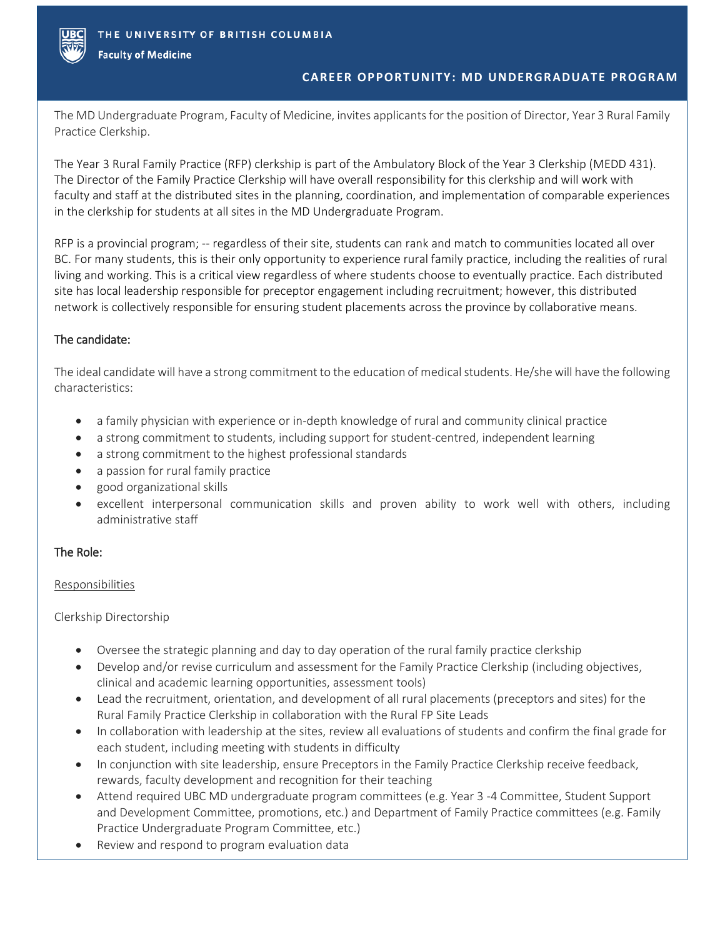

**Faculty of Medicine** 

# **CAREER OPPORTUNITY: MD UNDERGRADUATE PROGRAM**

The MD Undergraduate Program, Faculty of Medicine, invites applicants for the position of Director, Year 3 Rural Family Practice Clerkship.

The Year 3 Rural Family Practice (RFP) clerkship is part of the Ambulatory Block of the Year 3 Clerkship (MEDD 431). The Director of the Family Practice Clerkship will have overall responsibility for this clerkship and will work with faculty and staff at the distributed sites in the planning, coordination, and implementation of comparable experiences in the clerkship for students at all sites in the MD Undergraduate Program.

RFP is a provincial program; -- regardless of their site, students can rank and match to communities located all over BC. For many students, this is their only opportunity to experience rural family practice, including the realities of rural living and working. This is a critical view regardless of where students choose to eventually practice. Each distributed site has local leadership responsible for preceptor engagement including recruitment; however, this distributed network is collectively responsible for ensuring student placements across the province by collaborative means.

# The candidate:

The ideal candidate will have a strong commitment to the education of medical students. He/she will have the following characteristics:

- a family physician with experience or in-depth knowledge of rural and community clinical practice
- a strong commitment to students, including support for student-centred, independent learning
- a strong commitment to the highest professional standards
- a passion for rural family practice
- good organizational skills
- excellent interpersonal communication skills and proven ability to work well with others, including administrative staff

# The Role:

# Responsibilities

Clerkship Directorship

- Oversee the strategic planning and day to day operation of the rural family practice clerkship
- Develop and/or revise curriculum and assessment for the Family Practice Clerkship (including objectives, clinical and academic learning opportunities, assessment tools)
- Lead the recruitment, orientation, and development of all rural placements (preceptors and sites) for the Rural Family Practice Clerkship in collaboration with the Rural FP Site Leads
- In collaboration with leadership at the sites, review all evaluations of students and confirm the final grade for each student, including meeting with students in difficulty
- In conjunction with site leadership, ensure Preceptors in the Family Practice Clerkship receive feedback, rewards, faculty development and recognition for their teaching
- Attend required UBC MD undergraduate program committees (e.g. Year 3 -4 Committee, Student Support and Development Committee, promotions, etc.) and Department of Family Practice committees (e.g. Family Practice Undergraduate Program Committee, etc.)
- Review and respond to program evaluation data